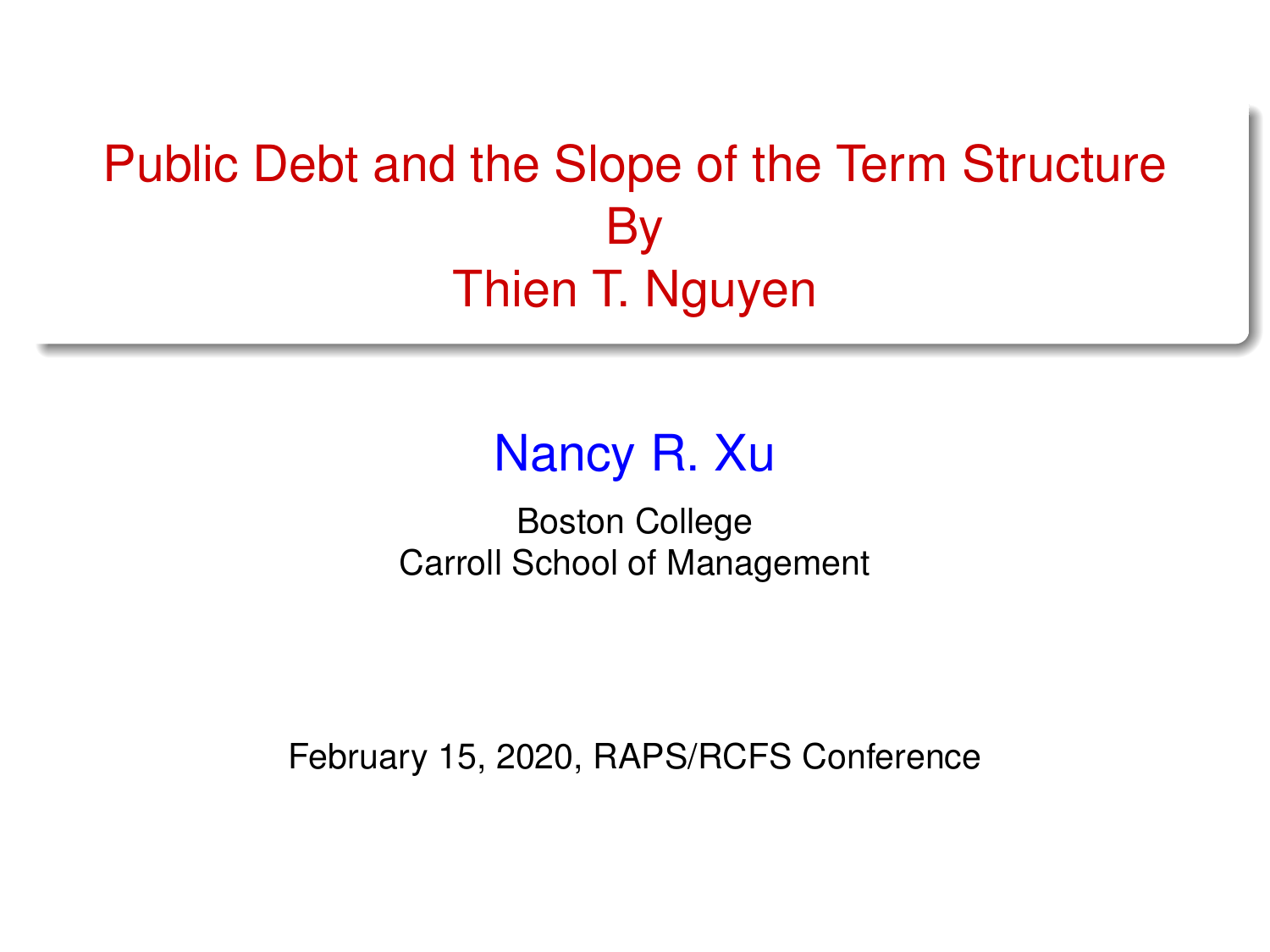# <span id="page-0-0"></span>Public Debt and the Slope of the Term Structure By Thien T. Nguyen

## Nancy R. Xu

Boston College Carroll School of Management

February 15, 2020, RAPS/RCFS Conference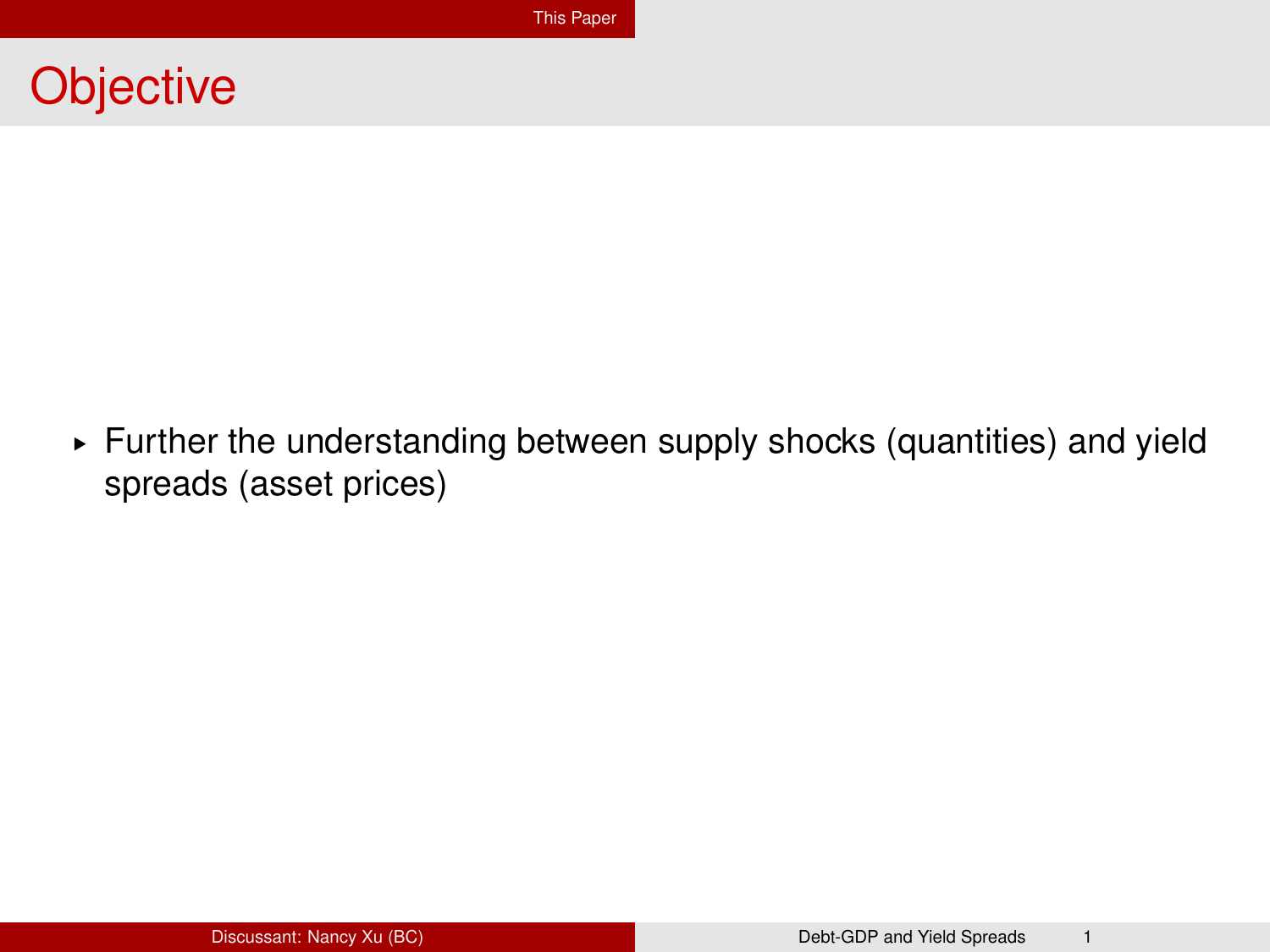#### <span id="page-1-0"></span>**Objective**

§ Further the understanding between supply shocks (quantities) and yield spreads (asset prices)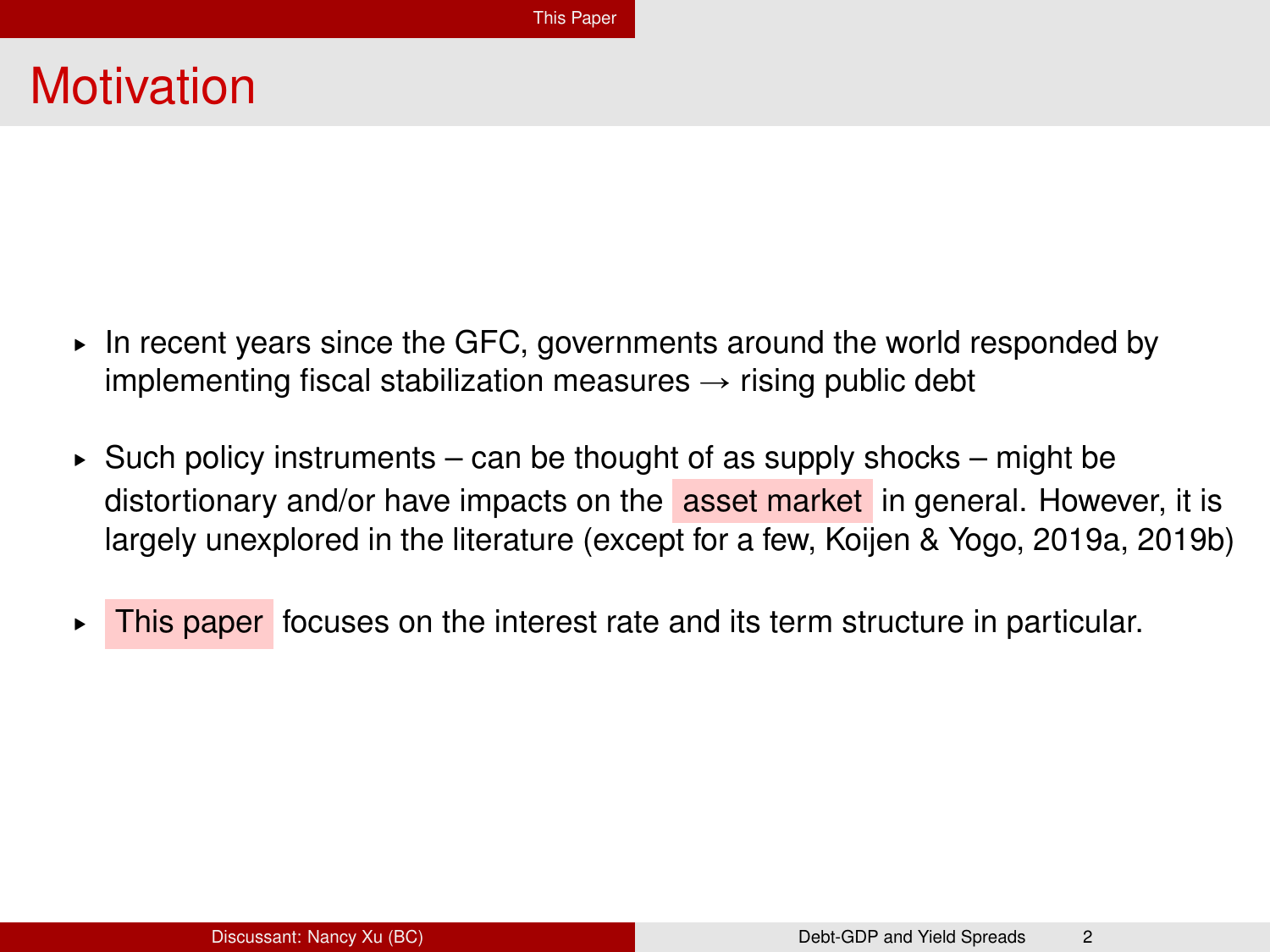#### **Motivation**

- $\triangleright$  In recent years since the GFC, governments around the world responded by implementing fiscal stabilization measures  $\rightarrow$  rising public debt
- ▶ Such policy instruments can be thought of as supply shocks might be distortionary and/or have impacts on the asset market in general. However, it is largely unexplored in the literature (except for a few, Koijen & Yogo, 2019a, 2019b)
- $\triangleright$  This paper focuses on the interest rate and its term structure in particular.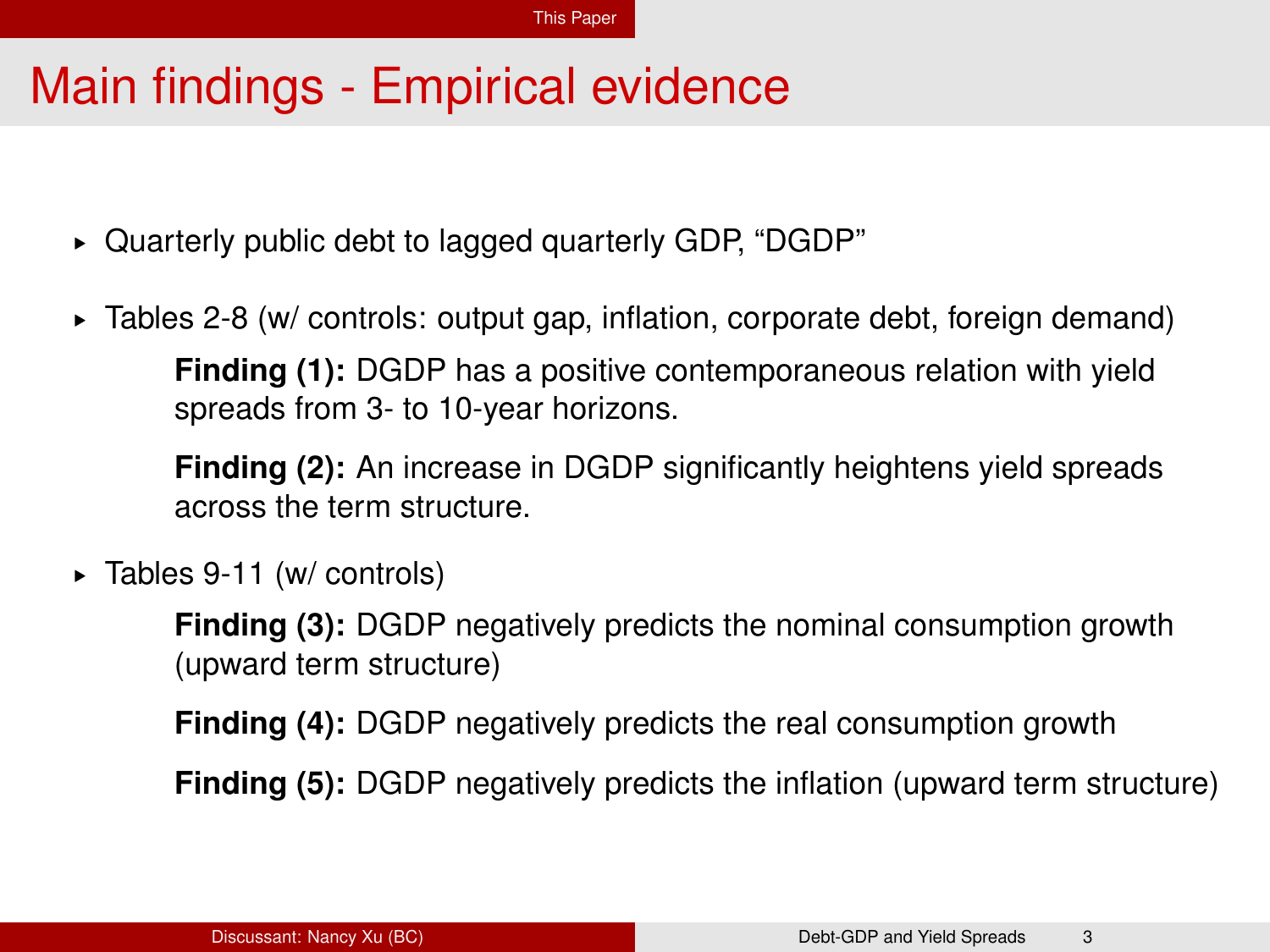## Main findings - Empirical evidence

- § Quarterly public debt to lagged quarterly GDP, "DGDP"
- § Tables 2-8 (w/ controls: output gap, inflation, corporate debt, foreign demand) **Finding (1):** DGDP has a positive contemporaneous relation with yield spreads from 3- to 10-year horizons.

**Finding (2):** An increase in DGDP significantly heightens yield spreads across the term structure.

§ Tables 9-11 (w/ controls)

**Finding (3):** DGDP negatively predicts the nominal consumption growth (upward term structure)

**Finding (4):** DGDP negatively predicts the real consumption growth

**Finding (5):** DGDP negatively predicts the inflation (upward term structure)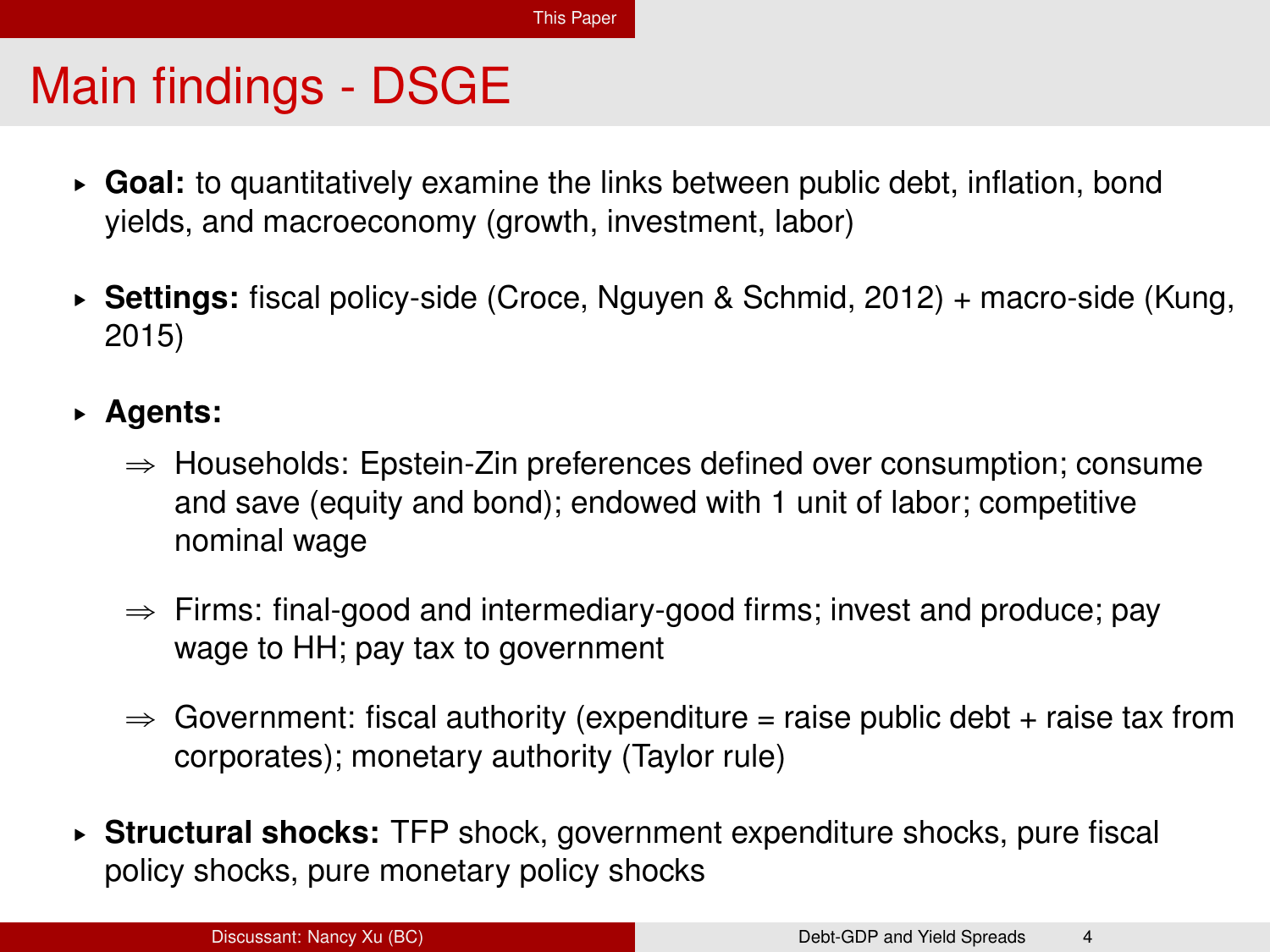## Main findings - DSGE

- § **Goal:** to quantitatively examine the links between public debt, inflation, bond yields, and macroeconomy (growth, investment, labor)
- § **Settings:** fiscal policy-side (Croce, Nguyen & Schmid, 2012) + macro-side (Kung, 2015)
- § **Agents:**
	- $\Rightarrow$  Households: Epstein-Zin preferences defined over consumption; consume and save (equity and bond); endowed with 1 unit of labor; competitive nominal wage
	- $\Rightarrow$  Firms: final-good and intermediary-good firms; invest and produce; pay wage to HH; pay tax to government
	- $\Rightarrow$  Government: fiscal authority (expenditure = raise public debt + raise tax from corporates); monetary authority (Taylor rule)
- § **Structural shocks:** TFP shock, government expenditure shocks, pure fiscal policy shocks, pure monetary policy shocks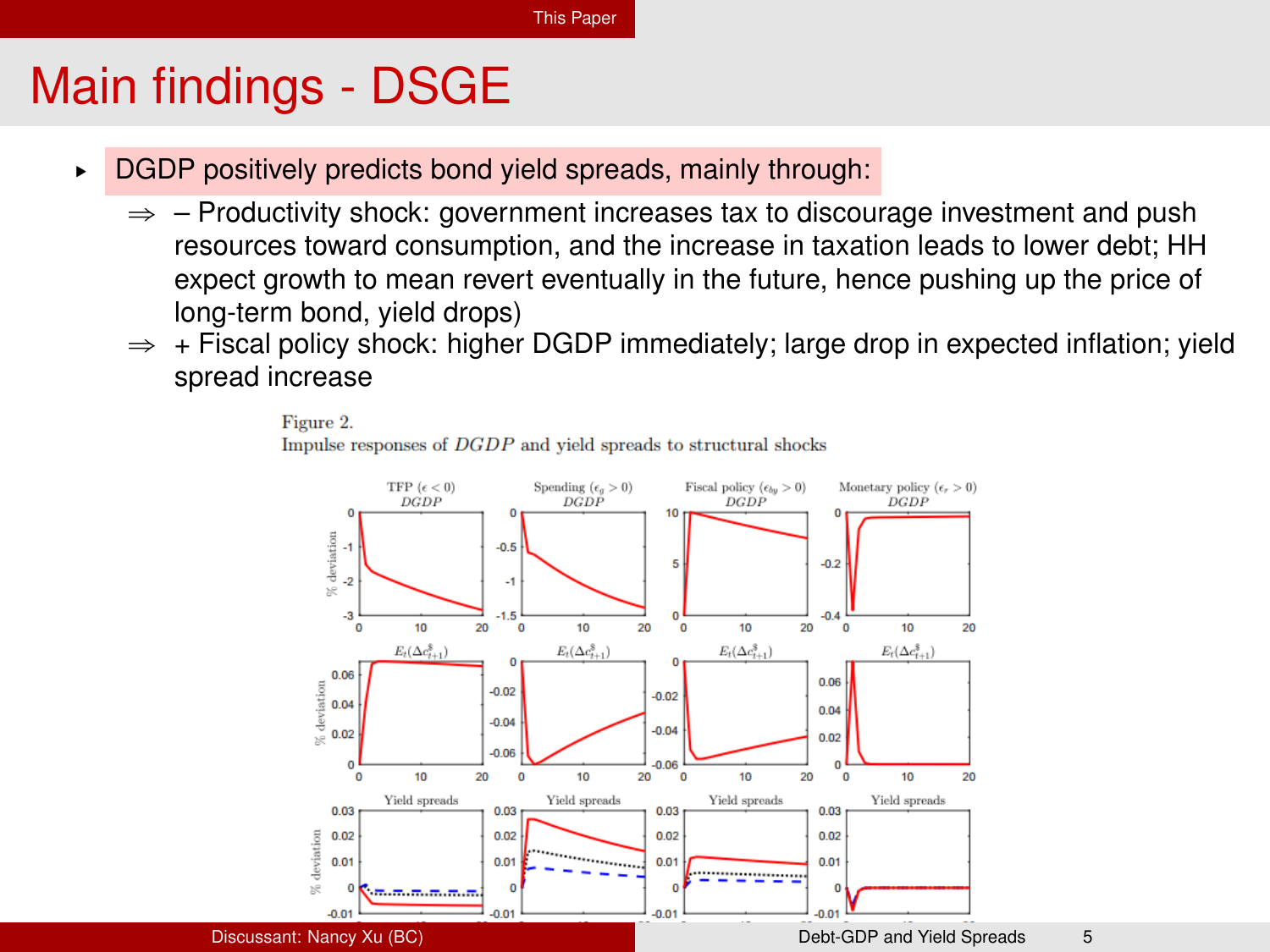## Main findings - DSGE

- ▶ DGDP positively predicts bond yield spreads, mainly through:
	- $\Rightarrow$  Productivity shock: government increases tax to discourage investment and push resources toward consumption, and the increase in taxation leads to lower debt; HH expect growth to mean revert eventually in the future, hence pushing up the price of long-term bond, yield drops)
	- $\Rightarrow$  + Fiscal policy shock: higher DGDP immediately; large drop in expected inflation; yield spread increase



Figure 2. Impulse responses of DGDP and vield spreads to structural shocks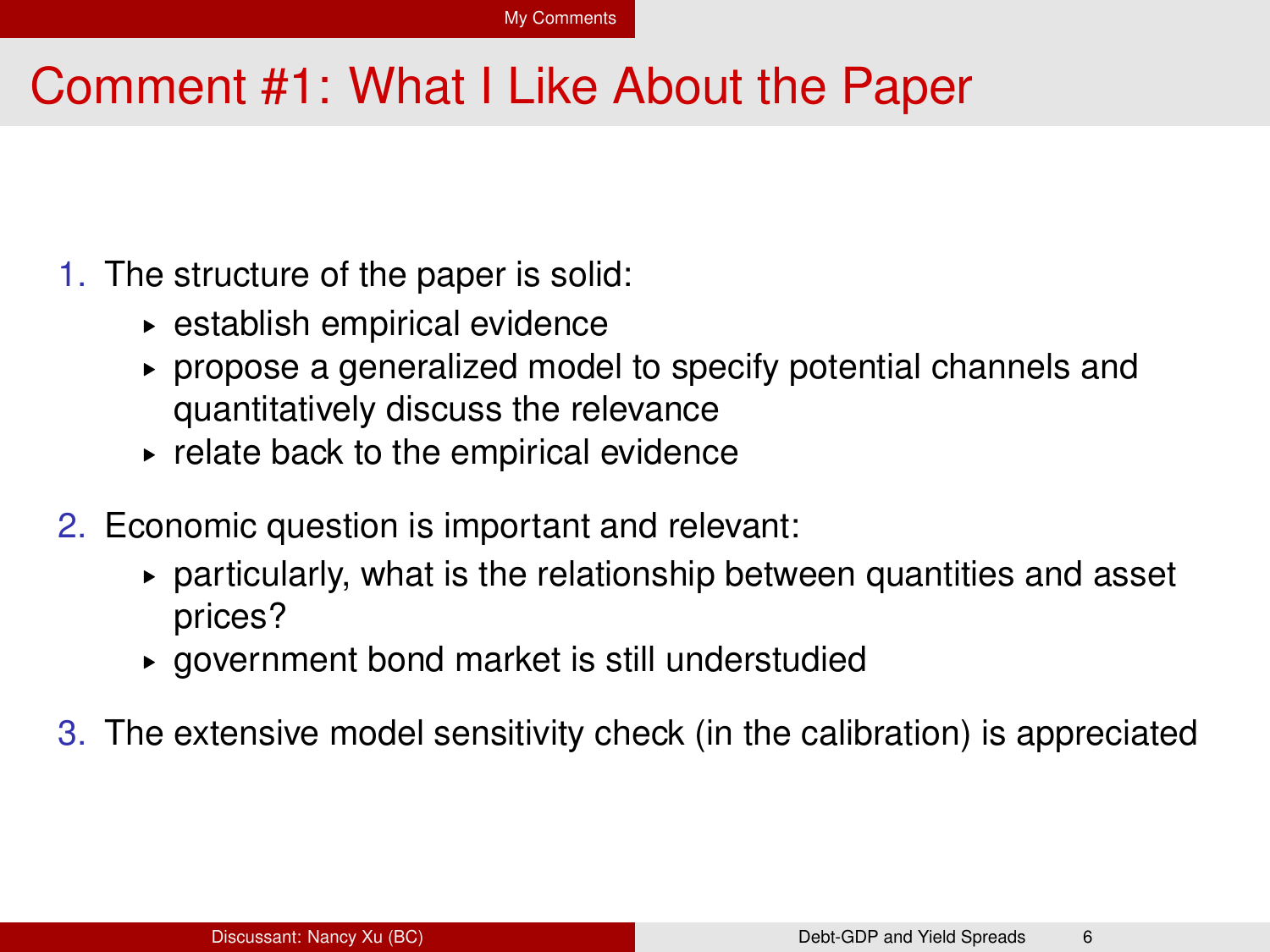#### <span id="page-6-0"></span>Comment #1: What I Like About the Paper

- 1. The structure of the paper is solid:
	- § establish empirical evidence
	- § propose a generalized model to specify potential channels and quantitatively discuss the relevance
	- $\blacktriangleright$  relate back to the empirical evidence
- 2. Economic question is important and relevant:
	- $\triangleright$  particularly, what is the relationship between quantities and asset prices?
	- § government bond market is still understudied
- 3. The extensive model sensitivity check (in the calibration) is appreciated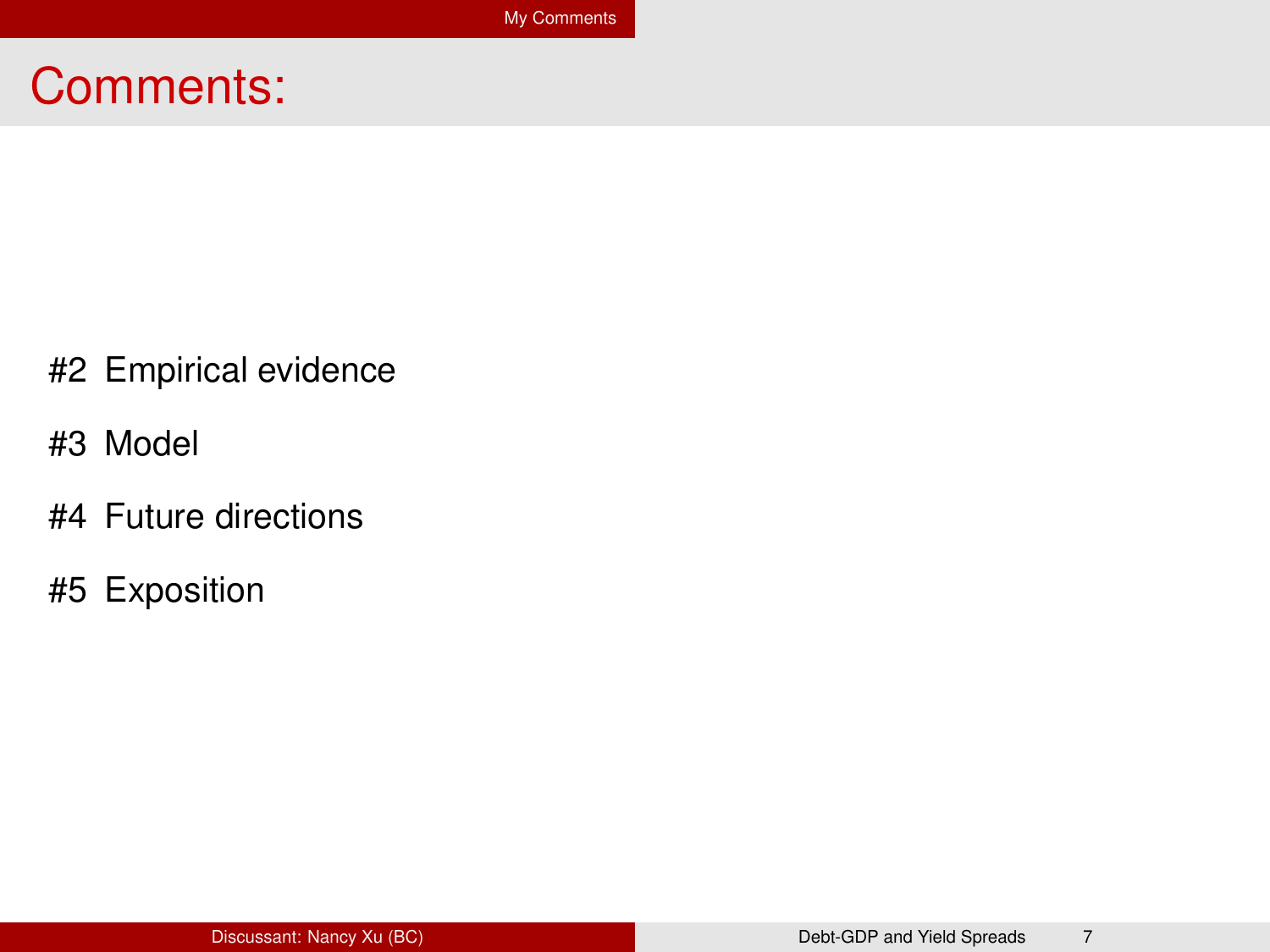#### Comments:

- #2 Empirical evidence
- #3 Model
- #4 Future directions
- #5 Exposition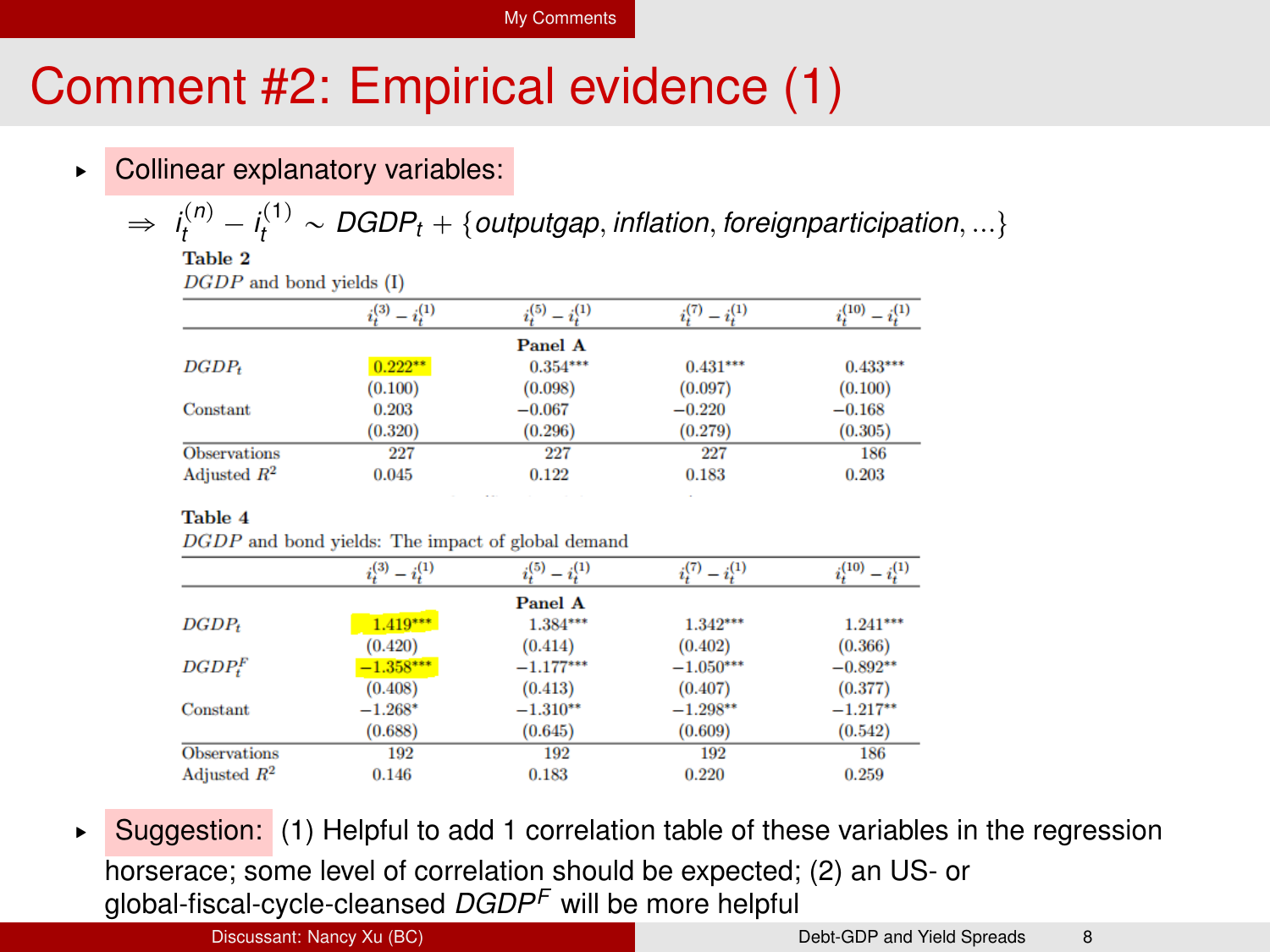#### [My Comments](#page-6-0)

## Comment #2: Empirical evidence (1)

▶ Collinear explanatory variables:

 $\Rightarrow$   $i_t^{(n)} - i_t^{(1)} \sim \text{DGDP}_t + \{\text{outputgap}, \text{inflation}, \text{foreignpartition}, ...\}$ 

 $DGDP$  and bond vields  $(I)$ 

|                     | $- i^{(1)}$<br>$_{1}(3)$ | $i^{(5)} - i^{(1)}$ | $-i^{(1)}$ | (10)       |
|---------------------|--------------------------|---------------------|------------|------------|
|                     |                          | Panel A             |            |            |
| $DGDP_t$            | $0.222***$               | $0.354***$          | $0.431***$ | $0.433***$ |
|                     | (0.100)                  | (0.098)             | (0.097)    | (0.100)    |
| Constant            | 0.203                    | $-0.067$            | $-0.220$   | $-0.168$   |
|                     | (0.320)                  | (0.296)             | (0.279)    | (0.305)    |
| <b>Observations</b> | 227                      | 227                 | 227        | 186        |
| Adjusted $R^2$      | 0.045                    | 0.122               | 0.183      | 0.203      |

Table 4

DGDP and bond vields: The impact of global demand

|                     | $i_i^{(3)}$<br>$- i^{(1)}_t$ | $i^{(5)}_i - i^{(1)}_i$ | $i^{(7)}_i = i^{(1)}_i$ | (1)<br>(10) |
|---------------------|------------------------------|-------------------------|-------------------------|-------------|
|                     |                              | Panel A                 |                         |             |
| $DGDP_t$            | $1.419***$                   | $1.384***$              | $1.342***$              | $1.241***$  |
|                     | (0.420)                      | (0.414)                 | (0.402)                 | (0.366)     |
| $DGDP^F_*$          | $-1.358***$                  | $-1.177***$             | $-1.050***$             | $-0.892**$  |
|                     | (0.408)                      | (0.413)                 | (0.407)                 | (0.377)     |
| Constant            | $-1.268*$                    | $-1.310**$              | $-1.298**$              | $-1.217**$  |
|                     | (0.688)                      | (0.645)                 | (0.609)                 | (0.542)     |
| <b>Observations</b> | 192                          | 192                     | 192                     | 186         |
| Adjusted $R^2$      | 0.146                        | 0.183                   | 0.220                   | 0.259       |

Suggestion: (1) Helpful to add 1 correlation table of these variables in the regression horserace; some level of correlation should be expected; (2) an US- or global-fiscal-cycle-cleansed *DGDP<sup>F</sup>* will be more helpful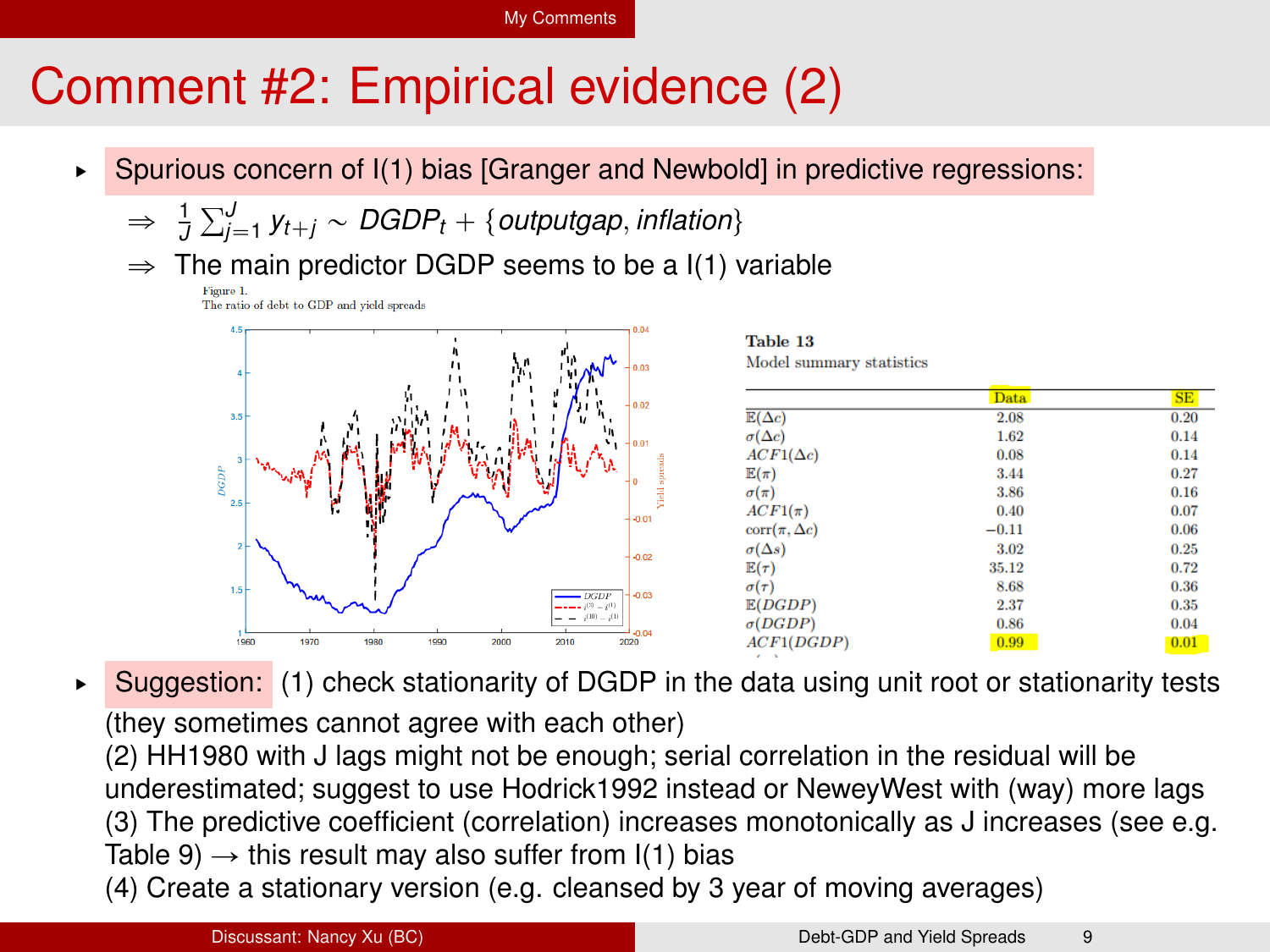#### [My Comments](#page-6-0)

## Comment #2: Empirical evidence (2)

- ▶ Spurious concern of I(1) bias [Granger and Newbold] in predictive regressions:
	- $\Rightarrow$   $\frac{1}{J}\sum_{j=1}^{J} y_{t+j} \sim DGDP_t + \{outputgap, inflation\}$
	- $\Rightarrow$  The main predictor DGDP seems to be a I(1) variable



| Model summary statistic |
|-------------------------|
|                         |

|                       | <b>Data</b> | SE   |
|-----------------------|-------------|------|
| $E(\Delta c)$         | 2.08        | 0.20 |
| $\sigma(\Delta c)$    | 1.62        | 0.14 |
| $ACF1(\Delta c)$      | 0.08        | 0.14 |
| $E(\pi)$              | 3.44        | 0.27 |
| $\sigma(\pi)$         | 3.86        | 0.16 |
| $ACF1(\pi)$           | 0.40        | 0.07 |
| $corr(\pi, \Delta c)$ | $-0.11$     | 0.06 |
| $\sigma(\Delta s)$    | 3.02        | 0.25 |
| $E(\tau)$             | 35.12       | 0.72 |
| $\sigma(\tau)$        | 8.68        | 0.36 |
| E(DGDP)               | 2.37        | 0.35 |
| $\sigma(DGDP)$        | 0.86        | 0.04 |
| ACF1(DGDP)            | 0.99        | 0.01 |

► Suggestion: (1) check stationarity of DGDP in the data using unit root or stationarity tests (they sometimes cannot agree with each other)

(2) HH1980 with J lags might not be enough; serial correlation in the residual will be underestimated; suggest to use Hodrick1992 instead or NeweyWest with (way) more lags (3) The predictive coefficient (correlation) increases monotonically as J increases (see e.g. Table 9)  $\rightarrow$  this result may also suffer from I(1) bias

(4) Create a stationary version (e.g. cleansed by 3 year of moving averages)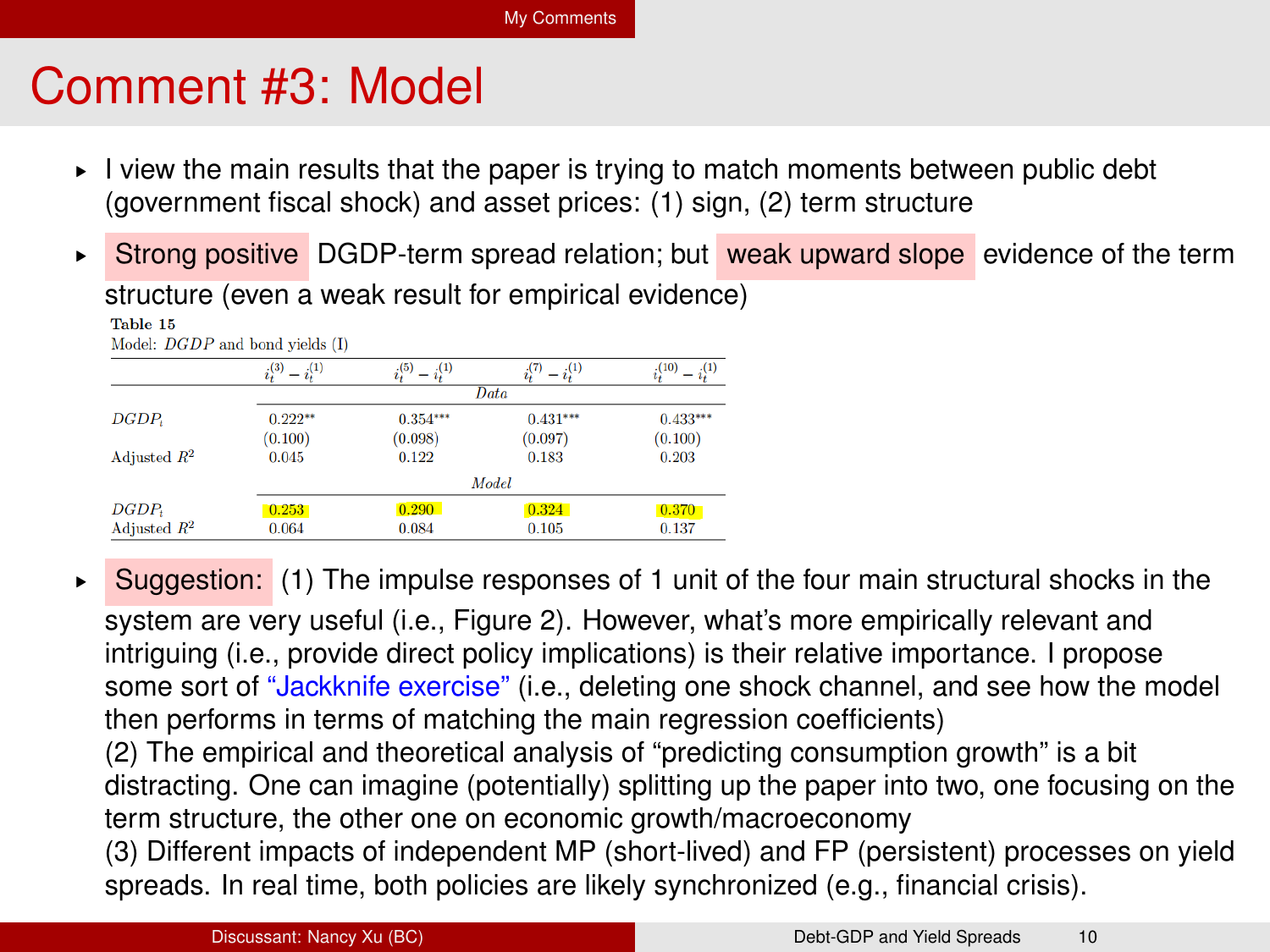## Comment #3: Model

- $\blacktriangleright$  I view the main results that the paper is trying to match moments between public debt (government fiscal shock) and asset prices: (1) sign, (2) term structure
- ► Strong positive DGDP-term spread relation; but weak upward slope evidence of the term structure (even a weak result for empirical evidence)

|                   | (3)<br>(1) | (5)<br>(1) | $_{2}(1)$  | (10)       |  |
|-------------------|------------|------------|------------|------------|--|
|                   | Data       |            |            |            |  |
| DGDP <sub>t</sub> | $0.222**$  | $0.354***$ | $0.431***$ | $0.433***$ |  |
|                   | (0.100)    | (0.098)    | (0.097)    | (0.100)    |  |
| Adjusted $R^2$    | 0.045      | 0.122      | 0.183      | 0.203      |  |
|                   | Model      |            |            |            |  |
| $DGDP_t$          | 0.253      | 0.290      | 0.324      | 0.370      |  |
| Adjusted $R^2$    | 0.064      | 0.084      | 0.105      | 0.137      |  |

Madale DCDD and hand stable (D

 $\triangleright$  Suggestion: (1) The impulse responses of 1 unit of the four main structural shocks in the system are very useful (i.e., Figure 2). However, what's more empirically relevant and intriguing (i.e., provide direct policy implications) is their relative importance. I propose some sort of "Jackknife exercise" (i.e., deleting one shock channel, and see how the model then performs in terms of matching the main regression coefficients) (2) The empirical and theoretical analysis of "predicting consumption growth" is a bit distracting. One can imagine (potentially) splitting up the paper into two, one focusing on the term structure, the other one on economic growth/macroeconomy (3) Different impacts of independent MP (short-lived) and FP (persistent) processes on yield spreads. In real time, both policies are likely synchronized (e.g., financial crisis).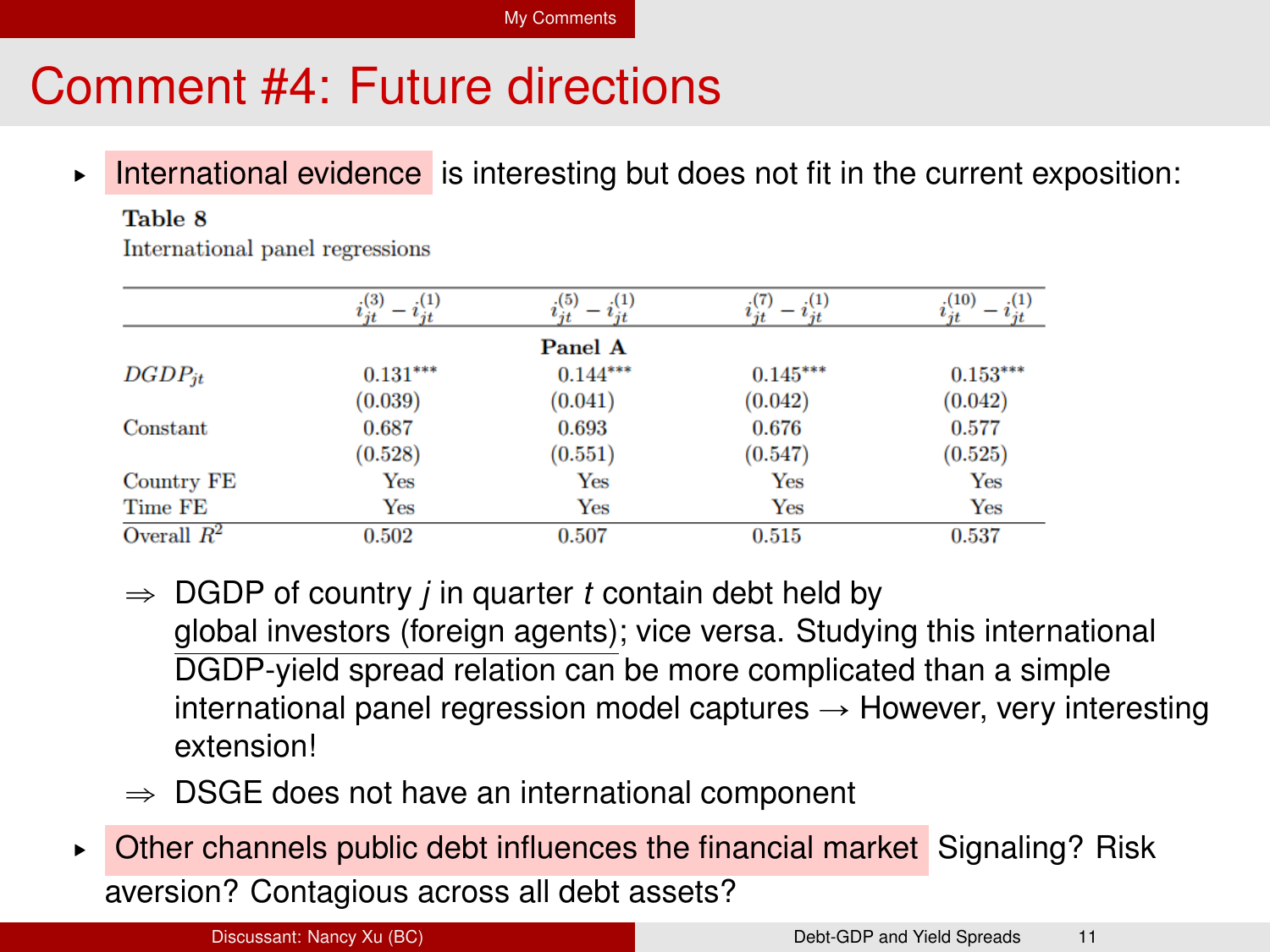## Comment #4: Future directions

► International evidence is interesting but does not fit in the current exposition:

#### Table 8

International panel regressions

|               | (3)<br>(1) | (1)<br>(5) | $-i^{(1)}_{it}$ | (1)<br>(10) |
|---------------|------------|------------|-----------------|-------------|
|               |            | Panel A    |                 |             |
| $DGDP_{it}$   | $0.131***$ | $0.144***$ | $0.145***$      | $0.153***$  |
|               | (0.039)    | (0.041)    | (0.042)         | (0.042)     |
| Constant      | 0.687      | 0.693      | 0.676           | 0.577       |
|               | (0.528)    | (0.551)    | (0.547)         | (0.525)     |
| Country FE    | Yes        | Yes        | Yes             | Yes         |
| Time FE       | Yes        | Yes        | Yes             | Yes         |
| Overall $R^2$ | 0.502      | 0.507      | 0.515           | 0.537       |

- $\Rightarrow$  DGDP of country *j* in quarter *t* contain debt held by global investors (foreign agents); vice versa. Studying this international DGDP-yield spread relation can be more complicated than a simple international panel regression model captures  $\rightarrow$  However, very interesting extension!
- $\Rightarrow$  DSGE does not have an international component
- § Other channels public debt influences the financial market Signaling? Risk aversion? Contagious across all debt assets?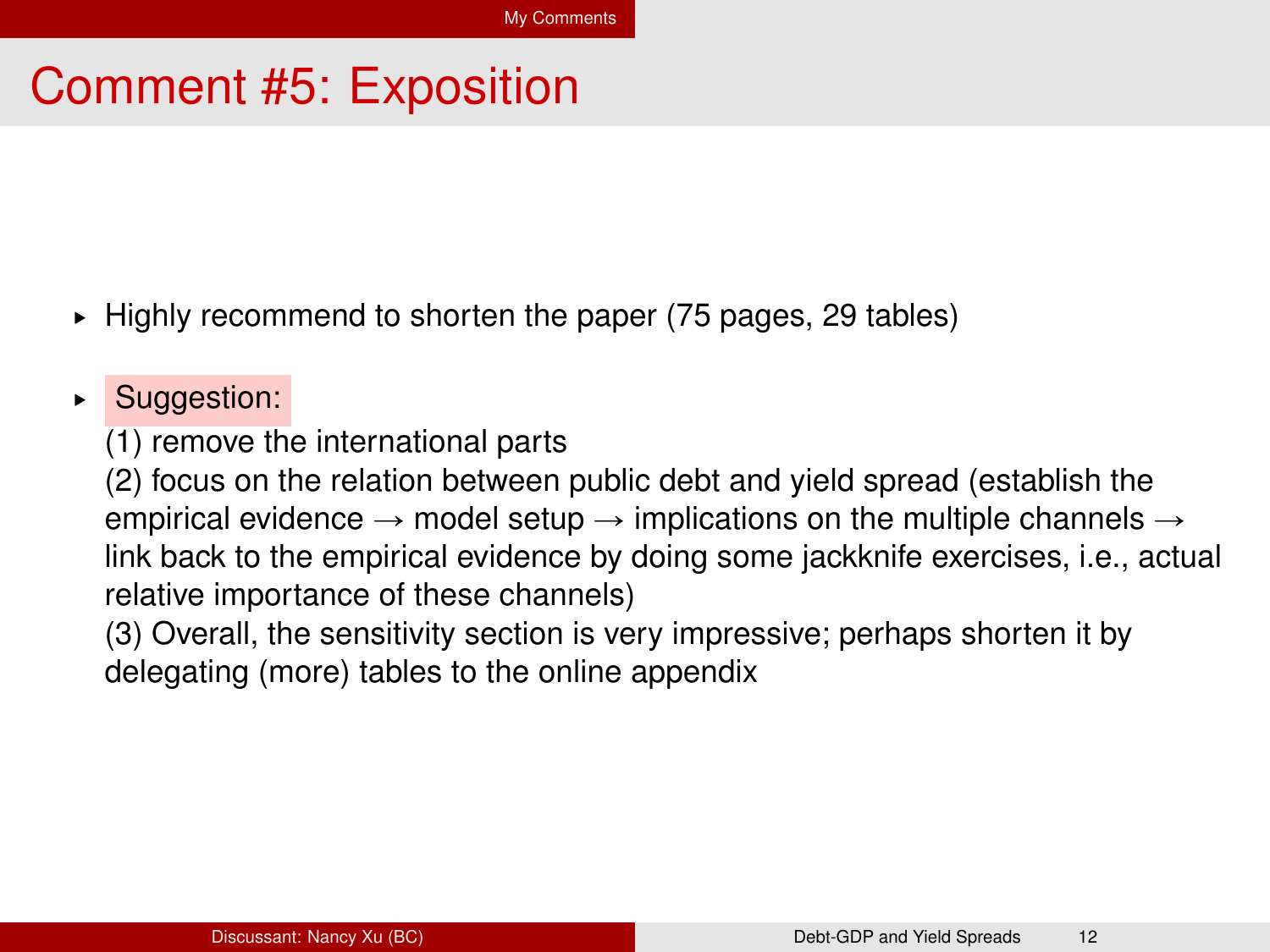#### Comment #5: Exposition

- § Highly recommend to shorten the paper (75 pages, 29 tables)
- ▶ Suggestion:

(1) remove the international parts

(2) focus on the relation between public debt and yield spread (establish the empirical evidence  $\rightarrow$  model setup  $\rightarrow$  implications on the multiple channels  $\rightarrow$ link back to the empirical evidence by doing some jackknife exercises, i.e., actual relative importance of these channels)

(3) Overall, the sensitivity section is very impressive; perhaps shorten it by delegating (more) tables to the online appendix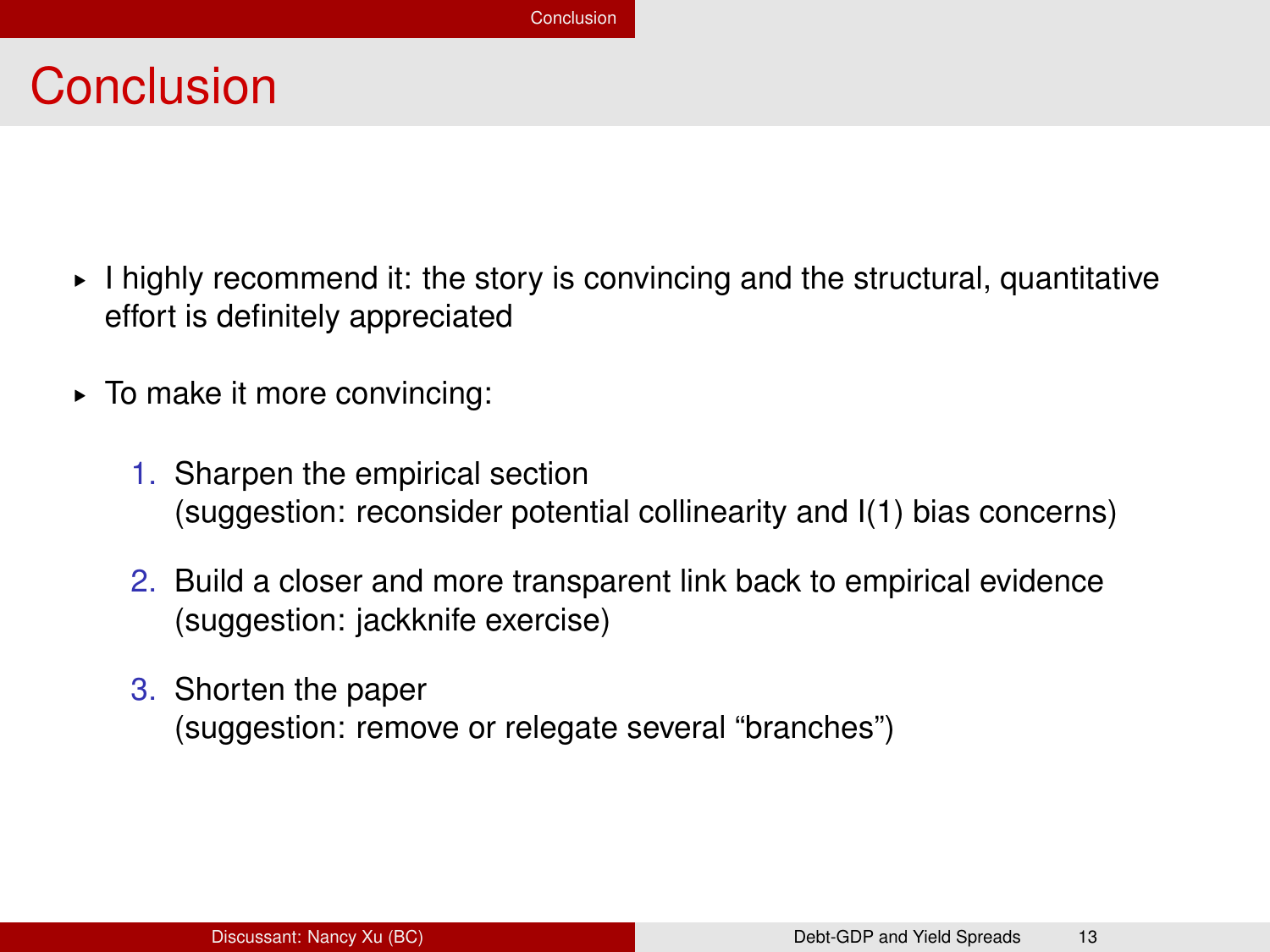#### <span id="page-13-0"></span>**Conclusion**

- § I highly recommend it: the story is convincing and the structural, quantitative effort is definitely appreciated
- § To make it more convincing:
	- 1. Sharpen the empirical section (suggestion: reconsider potential collinearity and I(1) bias concerns)
	- 2. Build a closer and more transparent link back to empirical evidence (suggestion: jackknife exercise)
	- 3. Shorten the paper (suggestion: remove or relegate several "branches")